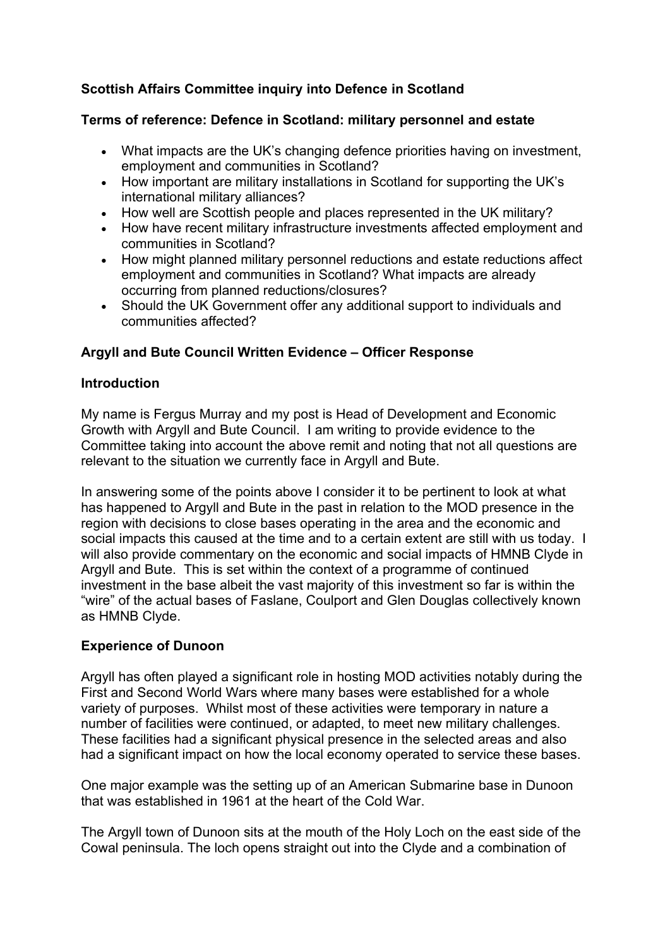# **Scottish Affairs Committee inquiry into Defence in Scotland**

### **Terms of reference: Defence in Scotland: military personnel and estate**

- What impacts are the UK's changing defence priorities having on investment, employment and communities in Scotland?
- How important are military installations in Scotland for supporting the UK's international military alliances?
- How well are Scottish people and places represented in the UK military?
- How have recent military infrastructure investments affected employment and communities in Scotland?
- How might planned military personnel reductions and estate reductions affect employment and communities in Scotland? What impacts are already occurring from planned reductions/closures?
- Should the UK Government offer any additional support to individuals and communities affected?

# **Argyll and Bute Council Written Evidence – Officer Response**

### **Introduction**

My name is Fergus Murray and my post is Head of Development and Economic Growth with Argyll and Bute Council. I am writing to provide evidence to the Committee taking into account the above remit and noting that not all questions are relevant to the situation we currently face in Argyll and Bute.

In answering some of the points above I consider it to be pertinent to look at what has happened to Argyll and Bute in the past in relation to the MOD presence in the region with decisions to close bases operating in the area and the economic and social impacts this caused at the time and to a certain extent are still with us today. I will also provide commentary on the economic and social impacts of HMNB Clyde in Argyll and Bute. This is set within the context of a programme of continued investment in the base albeit the vast majority of this investment so far is within the "wire" of the actual bases of Faslane, Coulport and Glen Douglas collectively known as HMNB Clyde.

# **Experience of Dunoon**

Argyll has often played a significant role in hosting MOD activities notably during the First and Second World Wars where many bases were established for a whole variety of purposes. Whilst most of these activities were temporary in nature a number of facilities were continued, or adapted, to meet new military challenges. These facilities had a significant physical presence in the selected areas and also had a significant impact on how the local economy operated to service these bases.

One major example was the setting up of an American Submarine base in Dunoon that was established in 1961 at the heart of the Cold War.

The Argyll town of Dunoon sits at the mouth of the Holy Loch on the east side of the Cowal peninsula. The loch opens straight out into the Clyde and a combination of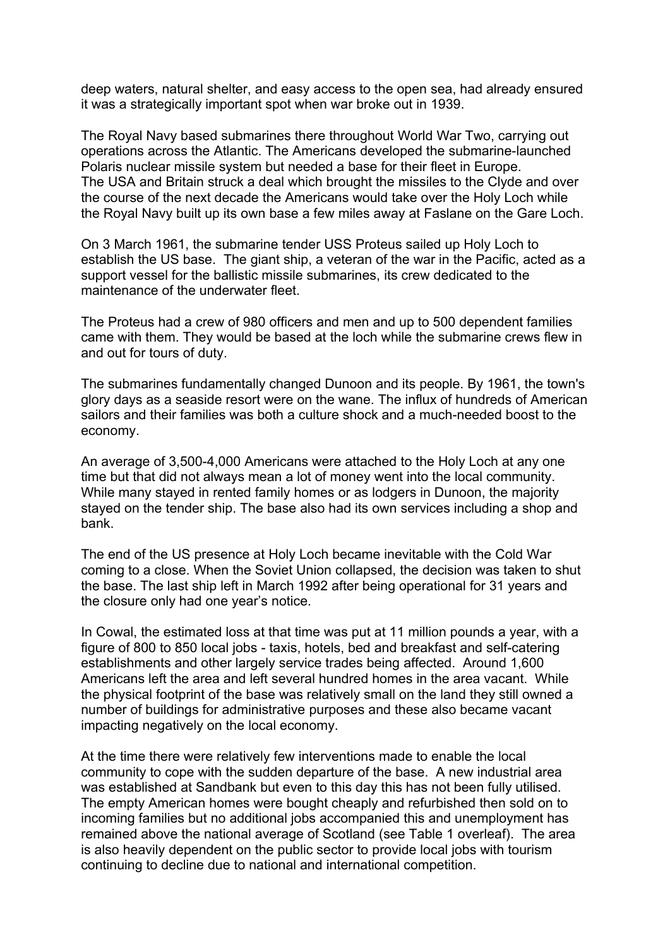deep waters, natural shelter, and easy access to the open sea, had already ensured it was a strategically important spot when war broke out in 1939.

The Royal Navy based submarines there throughout World War Two, carrying out operations across the Atlantic. The Americans developed the submarine-launched Polaris nuclear missile system but needed a base for their fleet in Europe. The USA and Britain struck a deal which brought the missiles to the Clyde and over the course of the next decade the Americans would take over the Holy Loch while the Royal Navy built up its own base a few miles away at Faslane on the Gare Loch.

On 3 March 1961, the submarine tender USS Proteus sailed up Holy Loch to establish the US base. The giant ship, a veteran of the war in the Pacific, acted as a support vessel for the ballistic missile submarines, its crew dedicated to the maintenance of the underwater fleet.

The Proteus had a crew of 980 officers and men and up to 500 dependent families came with them. They would be based at the loch while the submarine crews flew in and out for tours of duty.

The submarines fundamentally changed Dunoon and its people. By 1961, the town's glory days as a seaside resort were on the wane. The influx of hundreds of American sailors and their families was both a culture shock and a much-needed boost to the economy.

An average of 3,500-4,000 Americans were attached to the Holy Loch at any one time but that did not always mean a lot of money went into the local community. While many stayed in rented family homes or as lodgers in Dunoon, the majority stayed on the tender ship. The base also had its own services including a shop and bank.

The end of the US presence at Holy Loch became inevitable with the Cold War coming to a close. When the Soviet Union collapsed, the decision was taken to shut the base. The last ship left in March 1992 after being operational for 31 years and the closure only had one year's notice.

In Cowal, the estimated loss at that time was put at 11 million pounds a year, with a figure of 800 to 850 local jobs - taxis, hotels, bed and breakfast and self-catering establishments and other largely service trades being affected. Around 1,600 Americans left the area and left several hundred homes in the area vacant. While the physical footprint of the base was relatively small on the land they still owned a number of buildings for administrative purposes and these also became vacant impacting negatively on the local economy.

At the time there were relatively few interventions made to enable the local community to cope with the sudden departure of the base. A new industrial area was established at Sandbank but even to this day this has not been fully utilised. The empty American homes were bought cheaply and refurbished then sold on to incoming families but no additional jobs accompanied this and unemployment has remained above the national average of Scotland (see Table 1 overleaf). The area is also heavily dependent on the public sector to provide local jobs with tourism continuing to decline due to national and international competition.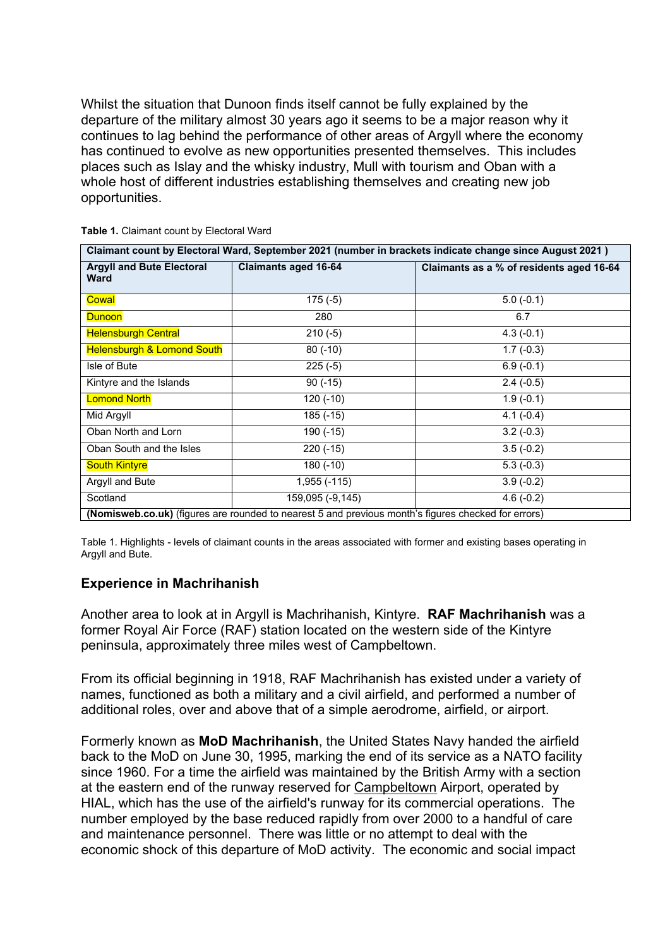Whilst the situation that Dunoon finds itself cannot be fully explained by the departure of the military almost 30 years ago it seems to be a major reason why it continues to lag behind the performance of other areas of Argyll where the economy has continued to evolve as new opportunities presented themselves. This includes places such as Islay and the whisky industry, Mull with tourism and Oban with a whole host of different industries establishing themselves and creating new job opportunities.

| Claimant count by Electoral Ward, September 2021 (number in brackets indicate change since August 2021) |                             |                                          |
|---------------------------------------------------------------------------------------------------------|-----------------------------|------------------------------------------|
| <b>Argyll and Bute Electoral</b><br><b>Ward</b>                                                         | <b>Claimants aged 16-64</b> | Claimants as a % of residents aged 16-64 |
| Cowal                                                                                                   | $175(-5)$                   | $5.0(-0.1)$                              |
| <b>Dunoon</b>                                                                                           | 280                         | 6.7                                      |
| <b>Helensburgh Central</b>                                                                              | $210(-5)$                   | $4.3(-0.1)$                              |
| <b>Helensburgh &amp; Lomond South</b>                                                                   | $80(-10)$                   | $1.7(-0.3)$                              |
| Isle of Bute                                                                                            | 225(.5)                     | $6.9(-0.1)$                              |
| Kintyre and the Islands                                                                                 | $90(-15)$                   | $\overline{2.4}$ (-0.5)                  |
| <b>Lomond North</b>                                                                                     | $120(-10)$                  | $1.9(-0.1)$                              |
| Mid Argyll                                                                                              | $185(-15)$                  | $4.1(-0.4)$                              |
| Oban North and Lorn                                                                                     | 190 (-15)                   | $3.2(-0.3)$                              |
| Oban South and the Isles                                                                                | $220(-15)$                  | $3.5(-0.2)$                              |
| <b>South Kintyre</b>                                                                                    | $180(-10)$                  | $5.3(-0.3)$                              |
| Argyll and Bute                                                                                         | $1,955(-115)$               | $3.9(-0.2)$                              |
| Scotland                                                                                                | 159,095 (-9,145)            | $4.6(-0.2)$                              |
| (Nomisweb.co.uk) (figures are rounded to nearest 5 and previous month's figures checked for errors)     |                             |                                          |

**Table 1.** Claimant count by Electoral Ward

Table 1. Highlights - levels of claimant counts in the areas associated with former and existing bases operating in Argyll and Bute.

#### **Experience in Machrihanish**

Another area to look at in Argyll is Machrihanish, Kintyre. **RAF Machrihanish** was a former Royal Air Force (RAF) station located on the western side of the Kintyre peninsula, approximately three miles west of Campbeltown.

From its official beginning in 1918, RAF Machrihanish has existed under a variety of names, functioned as both a military and a civil airfield, and performed a number of additional roles, over and above that of a simple aerodrome, airfield, or airport.

Formerly known as **MoD Machrihanish**, the United States Navy handed the airfield back to the MoD on June 30, 1995, marking the end of its service as a NATO facility since 1960. For a time the airfield was maintained by the British Army with a section at the eastern end of the runway reserved for [Campbeltown](http://www.secretscotland.org.uk/index.php/Secrets/RAFMachrihanish#campa) Airport, operated by HIAL, which has the use of the airfield's runway for its commercial operations. The number employed by the base reduced rapidly from over 2000 to a handful of care and maintenance personnel. There was little or no attempt to deal with the economic shock of this departure of MoD activity. The economic and social impact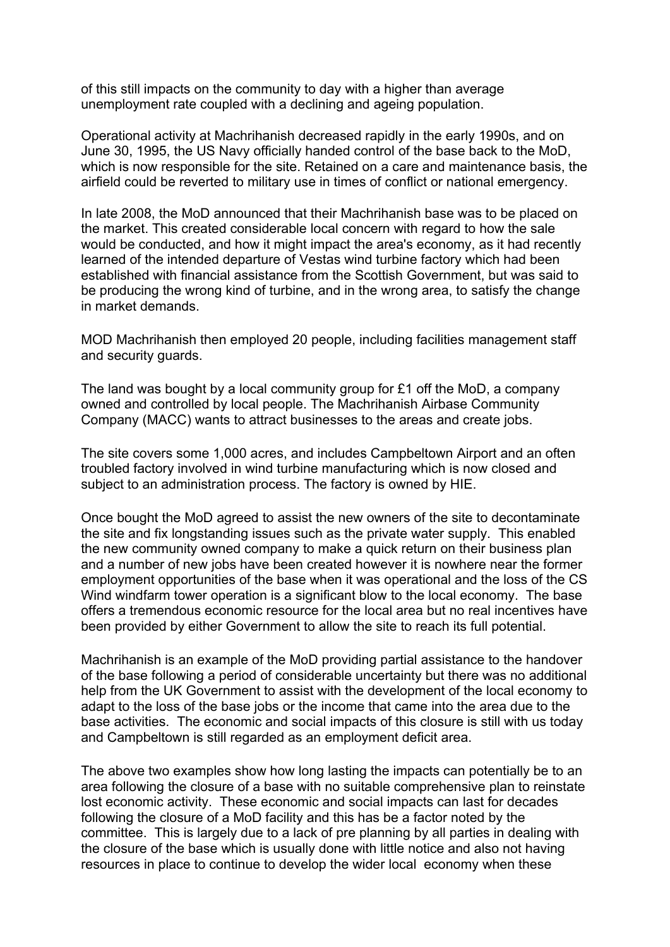of this still impacts on the community to day with a higher than average unemployment rate coupled with a declining and ageing population.

Operational activity at Machrihanish decreased rapidly in the early 1990s, and on June 30, 1995, the US Navy officially handed control of the base back to the MoD, which is now responsible for the site. Retained on a care and maintenance basis, the airfield could be reverted to military use in times of conflict or national emergency.

In late 2008, the MoD announced that their Machrihanish base was to be placed on the market. This created considerable local concern with regard to how the sale would be conducted, and how it might impact the area's economy, as it had recently learned of the intended departure of Vestas wind turbine factory which had been established with financial assistance from the Scottish Government, but was said to be producing the wrong kind of turbine, and in the wrong area, to satisfy the change in market demands.

MOD Machrihanish then employed 20 people, including facilities management staff and security guards.

The land was bought by a local community group for £1 off the MoD, a company owned and controlled by local people. The Machrihanish Airbase Community Company (MACC) wants to attract businesses to the areas and create jobs.

The site covers some 1,000 acres, and includes Campbeltown Airport and an often troubled factory involved in wind turbine manufacturing which is now closed and subject to an administration process. The factory is owned by HIE.

Once bought the MoD agreed to assist the new owners of the site to decontaminate the site and fix longstanding issues such as the private water supply. This enabled the new community owned company to make a quick return on their business plan and a number of new jobs have been created however it is nowhere near the former employment opportunities of the base when it was operational and the loss of the CS Wind windfarm tower operation is a significant blow to the local economy. The base offers a tremendous economic resource for the local area but no real incentives have been provided by either Government to allow the site to reach its full potential.

Machrihanish is an example of the MoD providing partial assistance to the handover of the base following a period of considerable uncertainty but there was no additional help from the UK Government to assist with the development of the local economy to adapt to the loss of the base jobs or the income that came into the area due to the base activities. The economic and social impacts of this closure is still with us today and Campbeltown is still regarded as an employment deficit area.

The above two examples show how long lasting the impacts can potentially be to an area following the closure of a base with no suitable comprehensive plan to reinstate lost economic activity. These economic and social impacts can last for decades following the closure of a MoD facility and this has be a factor noted by the committee. This is largely due to a lack of pre planning by all parties in dealing with the closure of the base which is usually done with little notice and also not having resources in place to continue to develop the wider local economy when these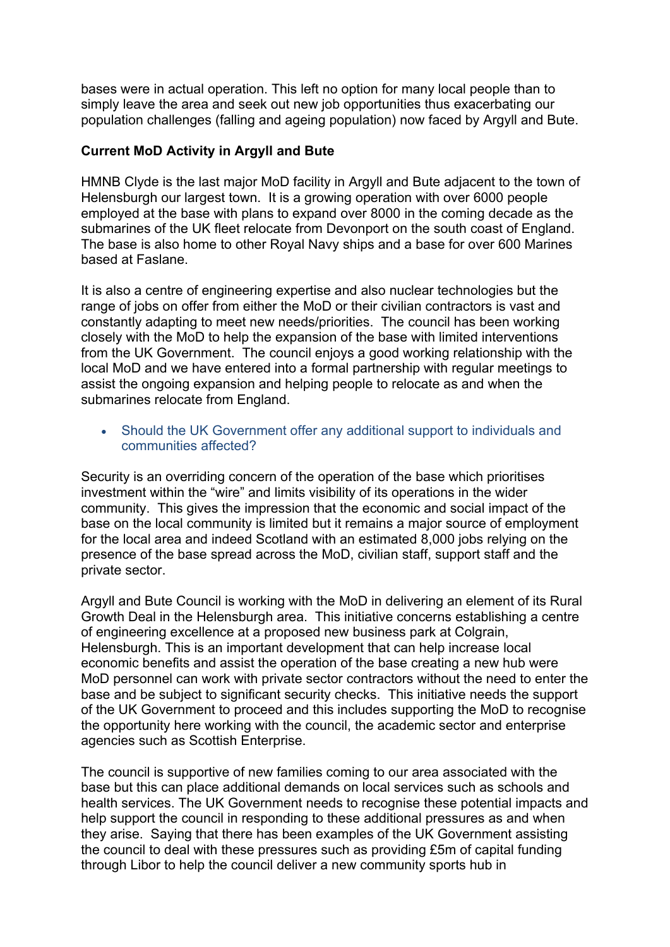bases were in actual operation. This left no option for many local people than to simply leave the area and seek out new job opportunities thus exacerbating our population challenges (falling and ageing population) now faced by Argyll and Bute.

### **Current MoD Activity in Argyll and Bute**

HMNB Clyde is the last major MoD facility in Argyll and Bute adjacent to the town of Helensburgh our largest town. It is a growing operation with over 6000 people employed at the base with plans to expand over 8000 in the coming decade as the submarines of the UK fleet relocate from Devonport on the south coast of England. The base is also home to other Royal Navy ships and a base for over 600 Marines based at Faslane.

It is also a centre of engineering expertise and also nuclear technologies but the range of jobs on offer from either the MoD or their civilian contractors is vast and constantly adapting to meet new needs/priorities. The council has been working closely with the MoD to help the expansion of the base with limited interventions from the UK Government. The council enjoys a good working relationship with the local MoD and we have entered into a formal partnership with regular meetings to assist the ongoing expansion and helping people to relocate as and when the submarines relocate from England.

 Should the UK Government offer any additional support to individuals and communities affected?

Security is an overriding concern of the operation of the base which prioritises investment within the "wire" and limits visibility of its operations in the wider community. This gives the impression that the economic and social impact of the base on the local community is limited but it remains a major source of employment for the local area and indeed Scotland with an estimated 8,000 jobs relying on the presence of the base spread across the MoD, civilian staff, support staff and the private sector.

Argyll and Bute Council is working with the MoD in delivering an element of its Rural Growth Deal in the Helensburgh area. This initiative concerns establishing a centre of engineering excellence at a proposed new business park at Colgrain, Helensburgh. This is an important development that can help increase local economic benefits and assist the operation of the base creating a new hub were MoD personnel can work with private sector contractors without the need to enter the base and be subject to significant security checks. This initiative needs the support of the UK Government to proceed and this includes supporting the MoD to recognise the opportunity here working with the council, the academic sector and enterprise agencies such as Scottish Enterprise.

The council is supportive of new families coming to our area associated with the base but this can place additional demands on local services such as schools and health services. The UK Government needs to recognise these potential impacts and help support the council in responding to these additional pressures as and when they arise. Saying that there has been examples of the UK Government assisting the council to deal with these pressures such as providing £5m of capital funding through Libor to help the council deliver a new community sports hub in